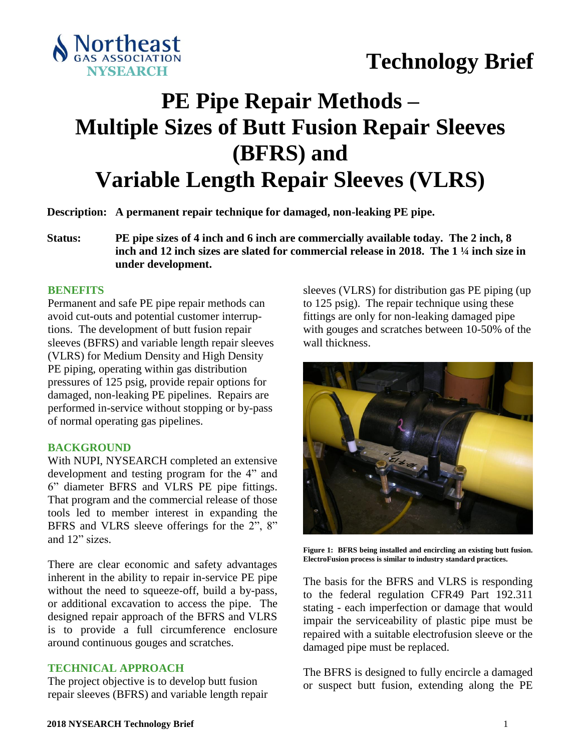



# **PE Pipe Repair Methods – Multiple Sizes of Butt Fusion Repair Sleeves (BFRS) and Variable Length Repair Sleeves (VLRS)**

**Description: A permanent repair technique for damaged, non-leaking PE pipe.** 

**Status: PE pipe sizes of 4 inch and 6 inch are commercially available today. The 2 inch, 8 inch and 12 inch sizes are slated for commercial release in 2018. The 1 ¼ inch size in under development.**

#### **BENEFITS**

Permanent and safe PE pipe repair methods can avoid cut-outs and potential customer interruptions. The development of butt fusion repair sleeves (BFRS) and variable length repair sleeves (VLRS) for Medium Density and High Density PE piping, operating within gas distribution pressures of 125 psig, provide repair options for damaged, non-leaking PE pipelines. Repairs are performed in-service without stopping or by-pass of normal operating gas pipelines.

#### **BACKGROUND**

With NUPI, NYSEARCH completed an extensive development and testing program for the 4" and 6" diameter BFRS and VLRS PE pipe fittings. That program and the commercial release of those tools led to member interest in expanding the BFRS and VLRS sleeve offerings for the 2", 8" and 12" sizes.

There are clear economic and safety advantages inherent in the ability to repair in-service PE pipe without the need to squeeze-off, build a by-pass, or additional excavation to access the pipe. The designed repair approach of the BFRS and VLRS is to provide a full circumference enclosure around continuous gouges and scratches.

### **TECHNICAL APPROACH**

The project objective is to develop butt fusion repair sleeves (BFRS) and variable length repair sleeves (VLRS) for distribution gas PE piping (up to 125 psig). The repair technique using these fittings are only for non-leaking damaged pipe with gouges and scratches between 10-50% of the wall thickness.



**Figure 1: BFRS being installed and encircling an existing butt fusion. ElectroFusion process is similar to industry standard practices.** 

The basis for the BFRS and VLRS is responding to the federal regulation CFR49 Part 192.311 stating - each imperfection or damage that would impair the serviceability of plastic pipe must be repaired with a suitable electrofusion sleeve or the damaged pipe must be replaced.

The BFRS is designed to fully encircle a damaged or suspect butt fusion, extending along the PE